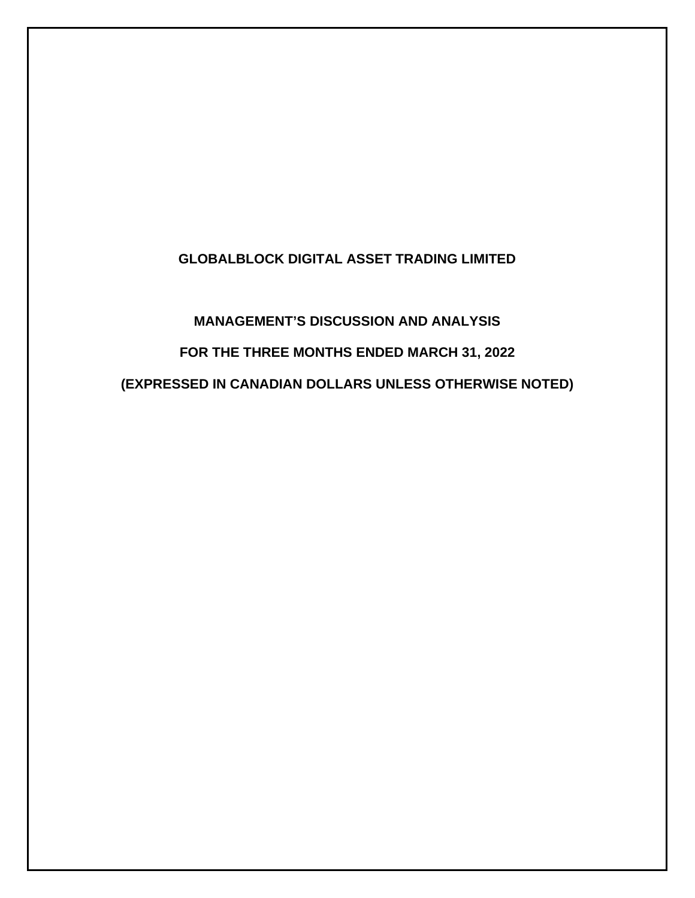# **GLOBALBLOCK DIGITAL ASSET TRADING LIMITED**

# **MANAGEMENT'S DISCUSSION AND ANALYSIS FOR THE THREE MONTHS ENDED MARCH 31, 2022 (EXPRESSED IN CANADIAN DOLLARS UNLESS OTHERWISE NOTED)**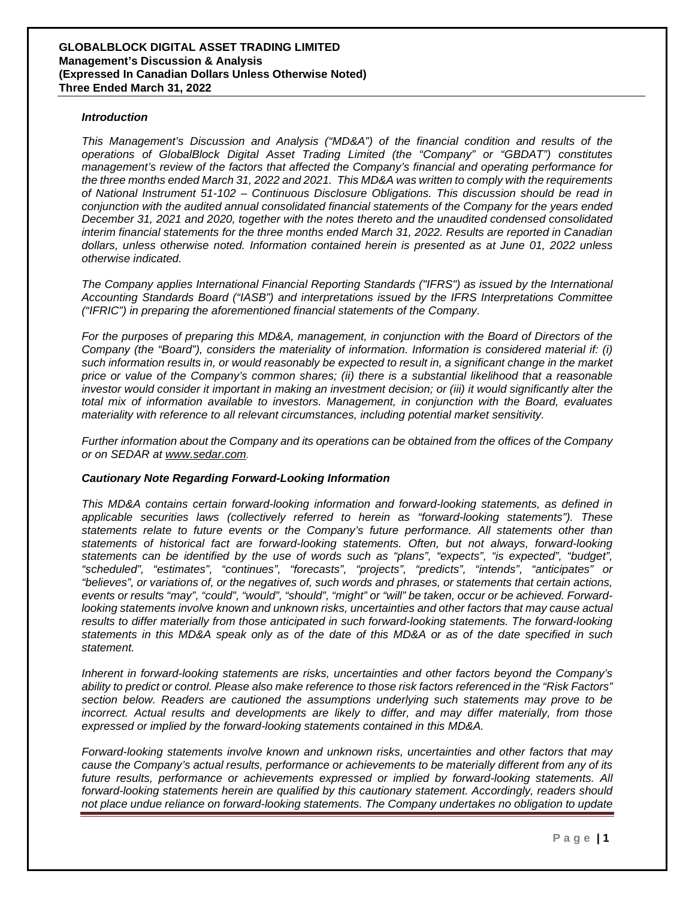#### *Introduction*

*This Management's Discussion and Analysis ("MD&A") of the financial condition and results of the operations of GlobalBlock Digital Asset Trading Limited (the "Company" or "GBDAT") constitutes management's review of the factors that affected the Company's financial and operating performance for the three months ended March 31, 2022 and 2021. This MD&A was written to comply with the requirements of National Instrument 51-102 – Continuous Disclosure Obligations. This discussion should be read in conjunction with the audited annual consolidated financial statements of the Company for the years ended December 31, 2021 and 2020, together with the notes thereto and the unaudited condensed consolidated interim financial statements for the three months ended March 31, 2022. Results are reported in Canadian dollars, unless otherwise noted. Information contained herein is presented as at June 01, 2022 unless otherwise indicated.* 

*The Company applies International Financial Reporting Standards ("IFRS") as issued by the International Accounting Standards Board ("IASB") and interpretations issued by the IFRS Interpretations Committee ("IFRIC") in preparing the aforementioned financial statements of the Company.* 

*For the purposes of preparing this MD&A, management, in conjunction with the Board of Directors of the Company (the "Board"), considers the materiality of information. Information is considered material if: (i) such information results in, or would reasonably be expected to result in, a significant change in the market price or value of the Company's common shares; (ii) there is a substantial likelihood that a reasonable investor would consider it important in making an investment decision; or (iii) it would significantly alter the total mix of information available to investors. Management, in conjunction with the Board, evaluates materiality with reference to all relevant circumstances, including potential market sensitivity.* 

*Further information about the Company and its operations can be obtained from the offices of the Company or on SEDAR at [www.sedar.com](http://www.sedar.com/).* 

#### *Cautionary Note Regarding Forward-Looking Information*

*This MD&A contains certain forward-looking information and forward-looking statements, as defined in applicable securities laws (collectively referred to herein as "forward-looking statements"). These statements relate to future events or the Company's future performance. All statements other than statements of historical fact are forward-looking statements. Often, but not always, forward-looking statements can be identified by the use of words such as "plans", "expects", "is expected", "budget", "scheduled", "estimates", "continues", "forecasts", "projects", "predicts", "intends", "anticipates" or "believes", or variations of, or the negatives of, such words and phrases, or statements that certain actions, events or results "may", "could", "would", "should", "might" or "will" be taken, occur or be achieved. Forwardlooking statements involve known and unknown risks, uncertainties and other factors that may cause actual results to differ materially from those anticipated in such forward-looking statements. The forward-looking statements in this MD&A speak only as of the date of this MD&A or as of the date specified in such statement.* 

*Inherent in forward-looking statements are risks, uncertainties and other factors beyond the Company's ability to predict or control. Please also make reference to those risk factors referenced in the "Risk Factors" section below. Readers are cautioned the assumptions underlying such statements may prove to be incorrect. Actual results and developments are likely to differ, and may differ materially, from those expressed or implied by the forward-looking statements contained in this MD&A.* 

*Forward-looking statements involve known and unknown risks, uncertainties and other factors that may cause the Company's actual results, performance or achievements to be materially different from any of its*  future results, performance or achievements expressed or implied by forward-looking statements. All *forward-looking statements herein are qualified by this cautionary statement. Accordingly, readers should not place undue reliance on forward-looking statements. The Company undertakes no obligation to update*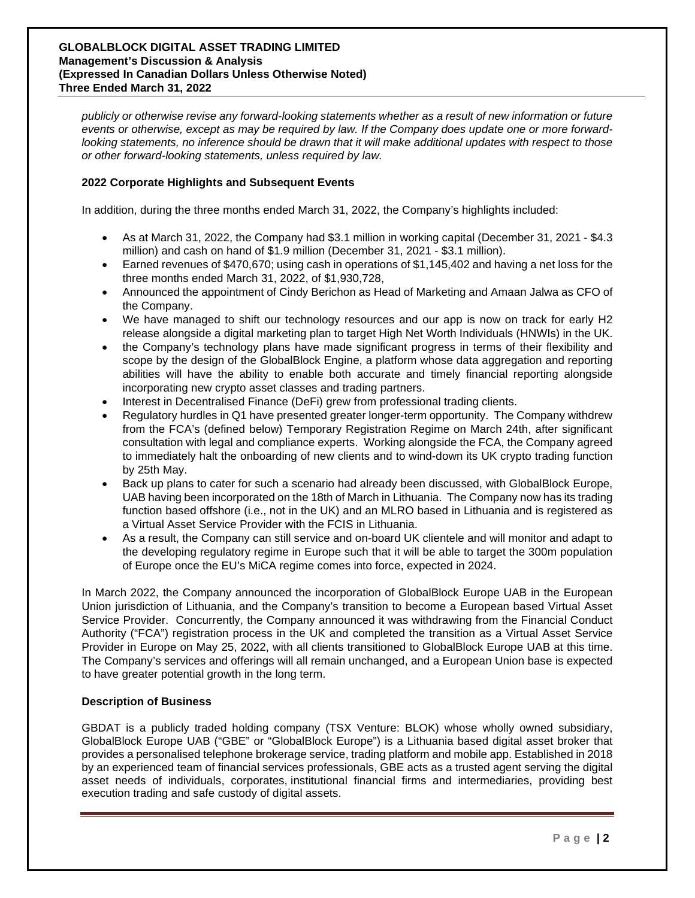*publicly or otherwise revise any forward-looking statements whether as a result of new information or future events or otherwise, except as may be required by law. If the Company does update one or more forwardlooking statements, no inference should be drawn that it will make additional updates with respect to those or other forward-looking statements, unless required by law.* 

# **2022 Corporate Highlights and Subsequent Events**

In addition, during the three months ended March 31, 2022, the Company's highlights included:

- As at March 31, 2022, the Company had \$3.1 million in working capital (December 31, 2021 \$4.3 million) and cash on hand of \$1.9 million (December 31, 2021 - \$3.1 million).
- Earned revenues of \$470,670; using cash in operations of \$1,145,402 and having a net loss for the three months ended March 31, 2022, of \$1,930,728,
- Announced the appointment of Cindy Berichon as Head of Marketing and Amaan Jalwa as CFO of the Company.
- We have managed to shift our technology resources and our app is now on track for early H2 release alongside a digital marketing plan to target High Net Worth Individuals (HNWIs) in the UK.
- the Company's technology plans have made significant progress in terms of their flexibility and scope by the design of the GlobalBlock Engine, a platform whose data aggregation and reporting abilities will have the ability to enable both accurate and timely financial reporting alongside incorporating new crypto asset classes and trading partners.
- Interest in Decentralised Finance (DeFi) grew from professional trading clients.
- Regulatory hurdles in Q1 have presented greater longer-term opportunity. The Company withdrew from the FCA's (defined below) Temporary Registration Regime on March 24th, after significant consultation with legal and compliance experts. Working alongside the FCA, the Company agreed to immediately halt the onboarding of new clients and to wind-down its UK crypto trading function by 25th May.
- Back up plans to cater for such a scenario had already been discussed, with GlobalBlock Europe, UAB having been incorporated on the 18th of March in Lithuania. The Company now has its trading function based offshore (i.e., not in the UK) and an MLRO based in Lithuania and is registered as a Virtual Asset Service Provider with the FCIS in Lithuania.
- As a result, the Company can still service and on-board UK clientele and will monitor and adapt to the developing regulatory regime in Europe such that it will be able to target the 300m population of Europe once the EU's MiCA regime comes into force, expected in 2024.

In March 2022, the Company announced the incorporation of GlobalBlock Europe UAB in the European Union jurisdiction of Lithuania, and the Company's transition to become a European based Virtual Asset Service Provider. Concurrently, the Company announced it was withdrawing from the Financial Conduct Authority ("FCA") registration process in the UK and completed the transition as a Virtual Asset Service Provider in Europe on May 25, 2022, with all clients transitioned to GlobalBlock Europe UAB at this time. The Company's services and offerings will all remain unchanged, and a European Union base is expected to have greater potential growth in the long term.

# **Description of Business**

GBDAT is a publicly traded holding company (TSX Venture: BLOK) whose wholly owned subsidiary, GlobalBlock Europe UAB ("GBE" or "GlobalBlock Europe") is a Lithuania based digital asset broker that provides a personalised telephone brokerage service, trading platform and mobile app. Established in 2018 by an experienced team of financial services professionals, GBE acts as a trusted agent serving the digital asset needs of individuals, corporates, institutional financial firms and intermediaries, providing best execution trading and safe custody of digital assets.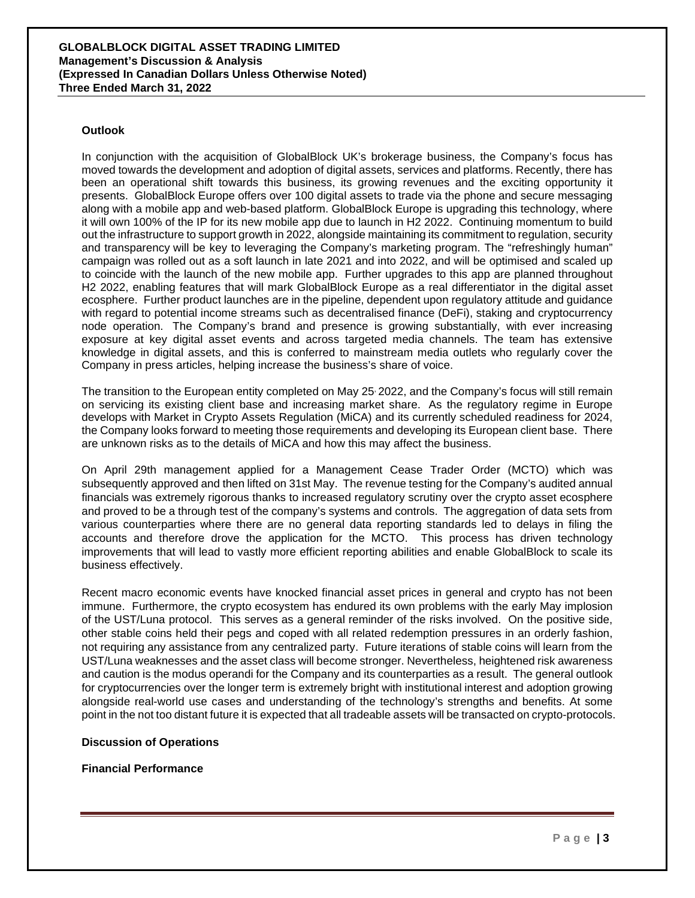#### **Outlook**

In conjunction with the acquisition of GlobalBlock UK's brokerage business, the Company's focus has moved towards the development and adoption of digital assets, services and platforms. Recently, there has been an operational shift towards this business, its growing revenues and the exciting opportunity it presents. GlobalBlock Europe offers over 100 digital assets to trade via the phone and secure messaging along with a mobile app and web-based platform. GlobalBlock Europe is upgrading this technology, where it will own 100% of the IP for its new mobile app due to launch in H2 2022. Continuing momentum to build out the infrastructure to support growth in 2022, alongside maintaining its commitment to regulation, security and transparency will be key to leveraging the Company's marketing program. The "refreshingly human" campaign was rolled out as a soft launch in late 2021 and into 2022, and will be optimised and scaled up to coincide with the launch of the new mobile app. Further upgrades to this app are planned throughout H2 2022, enabling features that will mark GlobalBlock Europe as a real differentiator in the digital asset ecosphere. Further product launches are in the pipeline, dependent upon regulatory attitude and guidance with regard to potential income streams such as decentralised finance (DeFi), staking and cryptocurrency node operation. The Company's brand and presence is growing substantially, with ever increasing exposure at key digital asset events and across targeted media channels. The team has extensive knowledge in digital assets, and this is conferred to mainstream media outlets who regularly cover the Company in press articles, helping increase the business's share of voice.

The transition to the European entity completed on May 25, 2022, and the Company's focus will still remain on servicing its existing client base and increasing market share. As the regulatory regime in Europe develops with Market in Crypto Assets Regulation (MiCA) and its currently scheduled readiness for 2024, the Company looks forward to meeting those requirements and developing its European client base. There are unknown risks as to the details of MiCA and how this may affect the business.

On April 29th management applied for a Management Cease Trader Order (MCTO) which was subsequently approved and then lifted on 31st May. The revenue testing for the Company's audited annual financials was extremely rigorous thanks to increased regulatory scrutiny over the crypto asset ecosphere and proved to be a through test of the company's systems and controls. The aggregation of data sets from various counterparties where there are no general data reporting standards led to delays in filing the accounts and therefore drove the application for the MCTO. This process has driven technology improvements that will lead to vastly more efficient reporting abilities and enable GlobalBlock to scale its business effectively.

Recent macro economic events have knocked financial asset prices in general and crypto has not been immune. Furthermore, the crypto ecosystem has endured its own problems with the early May implosion of the UST/Luna protocol. This serves as a general reminder of the risks involved. On the positive side, other stable coins held their pegs and coped with all related redemption pressures in an orderly fashion, not requiring any assistance from any centralized party. Future iterations of stable coins will learn from the UST/Luna weaknesses and the asset class will become stronger. Nevertheless, heightened risk awareness and caution is the modus operandi for the Company and its counterparties as a result. The general outlook for cryptocurrencies over the longer term is extremely bright with institutional interest and adoption growing alongside real-world use cases and understanding of the technology's strengths and benefits. At some point in the not too distant future it is expected that all tradeable assets will be transacted on crypto-protocols.

#### **Discussion of Operations**

**Financial Performance**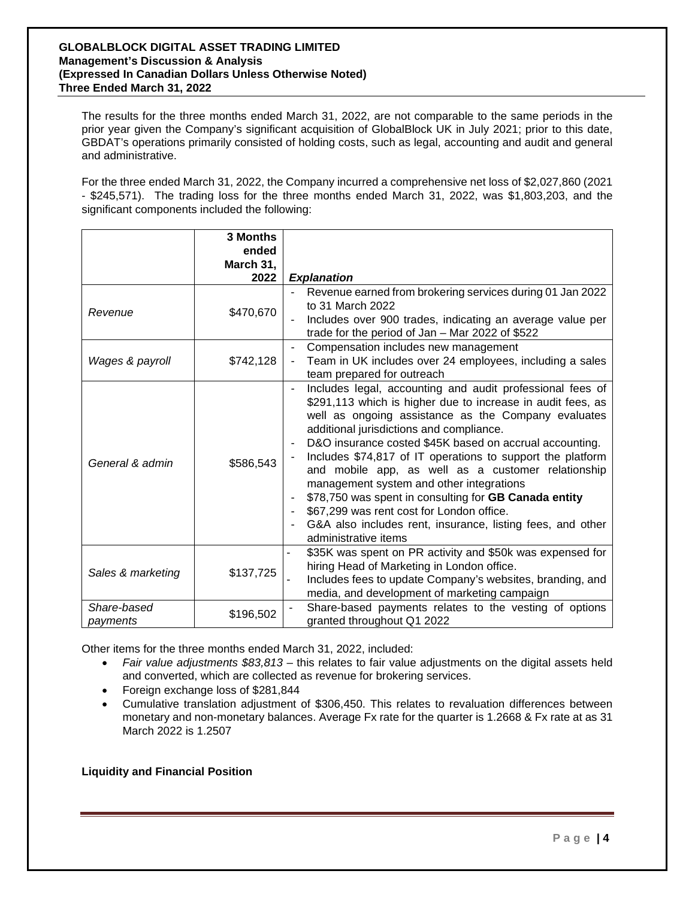The results for the three months ended March 31, 2022, are not comparable to the same periods in the prior year given the Company's significant acquisition of GlobalBlock UK in July 2021; prior to this date, GBDAT's operations primarily consisted of holding costs, such as legal, accounting and audit and general and administrative.

For the three ended March 31, 2022, the Company incurred a comprehensive net loss of \$2,027,860 (2021 - \$245,571). The trading loss for the three months ended March 31, 2022, was \$1,803,203, and the significant components included the following:

|                         | 3 Months<br>ended |                                                                                                                                                                                                                                                                                                                                                                                                                                                                                                                                                                                                                                                    |
|-------------------------|-------------------|----------------------------------------------------------------------------------------------------------------------------------------------------------------------------------------------------------------------------------------------------------------------------------------------------------------------------------------------------------------------------------------------------------------------------------------------------------------------------------------------------------------------------------------------------------------------------------------------------------------------------------------------------|
|                         | March 31,<br>2022 | <b>Explanation</b>                                                                                                                                                                                                                                                                                                                                                                                                                                                                                                                                                                                                                                 |
| Revenue                 | \$470,670         | Revenue earned from brokering services during 01 Jan 2022<br>to 31 March 2022<br>Includes over 900 trades, indicating an average value per<br>trade for the period of Jan - Mar 2022 of \$522                                                                                                                                                                                                                                                                                                                                                                                                                                                      |
| Wages & payroll         | \$742,128         | Compensation includes new management<br>Team in UK includes over 24 employees, including a sales<br>team prepared for outreach                                                                                                                                                                                                                                                                                                                                                                                                                                                                                                                     |
| General & admin         | \$586,543         | Includes legal, accounting and audit professional fees of<br>\$291,113 which is higher due to increase in audit fees, as<br>well as ongoing assistance as the Company evaluates<br>additional jurisdictions and compliance.<br>D&O insurance costed \$45K based on accrual accounting.<br>Includes \$74,817 of IT operations to support the platform<br>and mobile app, as well as a customer relationship<br>management system and other integrations<br>\$78,750 was spent in consulting for GB Canada entity<br>\$67,299 was rent cost for London office.<br>G&A also includes rent, insurance, listing fees, and other<br>administrative items |
| Sales & marketing       | \$137,725         | \$35K was spent on PR activity and \$50k was expensed for<br>hiring Head of Marketing in London office.<br>Includes fees to update Company's websites, branding, and<br>media, and development of marketing campaign                                                                                                                                                                                                                                                                                                                                                                                                                               |
| Share-based<br>payments | \$196,502         | Share-based payments relates to the vesting of options<br>granted throughout Q1 2022                                                                                                                                                                                                                                                                                                                                                                                                                                                                                                                                                               |

Other items for the three months ended March 31, 2022, included:

- *Fair value adjustments \$83,813* this relates to fair value adjustments on the digital assets held and converted, which are collected as revenue for brokering services.
- Foreign exchange loss of \$281,844
- Cumulative translation adjustment of \$306,450. This relates to revaluation differences between monetary and non-monetary balances. Average Fx rate for the quarter is 1.2668 & Fx rate at as 31 March 2022 is 1.2507

**Liquidity and Financial Position**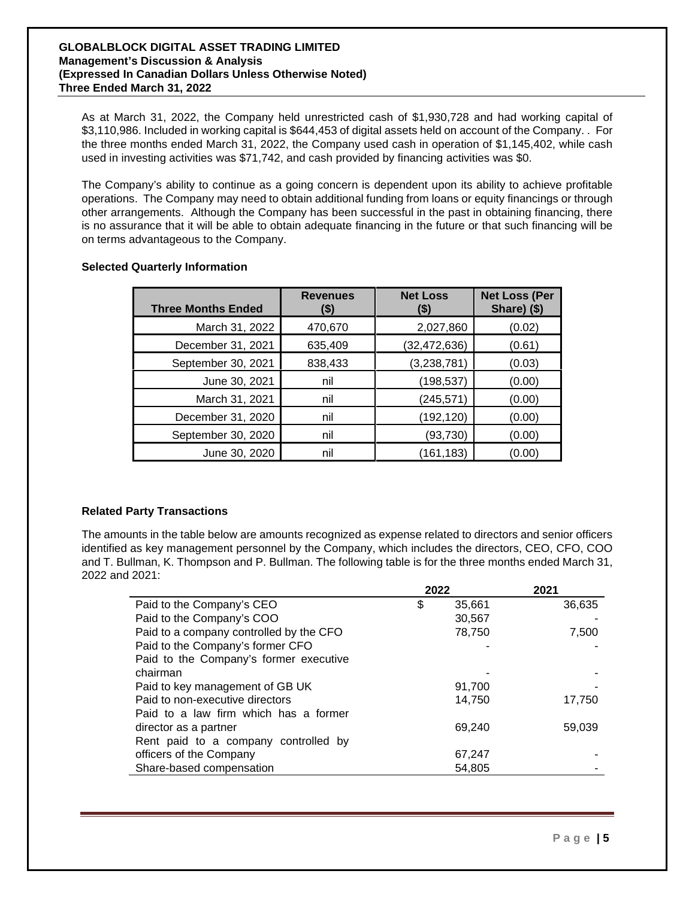As at March 31, 2022, the Company held unrestricted cash of \$1,930,728 and had working capital of \$3,110,986. Included in working capital is \$644,453 of digital assets held on account of the Company. . For the three months ended March 31, 2022, the Company used cash in operation of \$1,145,402, while cash used in investing activities was \$71,742, and cash provided by financing activities was \$0.

The Company's ability to continue as a going concern is dependent upon its ability to achieve profitable operations. The Company may need to obtain additional funding from loans or equity financings or through other arrangements. Although the Company has been successful in the past in obtaining financing, there is no assurance that it will be able to obtain adequate financing in the future or that such financing will be on terms advantageous to the Company.

| <b>Three Months Ended</b> | <b>Revenues</b><br>(\$) | <b>Net Loss</b><br>(\$) | <b>Net Loss (Per</b><br>Share) (\$) |
|---------------------------|-------------------------|-------------------------|-------------------------------------|
| March 31, 2022            | 470,670                 | 2,027,860               | (0.02)                              |
| December 31, 2021         | 635,409                 | (32, 472, 636)          | (0.61)                              |
| September 30, 2021        | 838,433                 | (3, 238, 781)           | (0.03)                              |
| June 30, 2021             | nil                     | (198, 537)              | (0.00)                              |
| March 31, 2021            | nil                     | (245, 571)              | (0.00)                              |
| December 31, 2020         | nil                     | (192, 120)              | (0.00)                              |
| September 30, 2020        | nil                     | (93, 730)               | (0.00)                              |
| June 30, 2020             | nil                     | (161,183)               | (0.00)                              |

# **Selected Quarterly Information**

# **Related Party Transactions**

The amounts in the table below are amounts recognized as expense related to directors and senior officers identified as key management personnel by the Company, which includes the directors, CEO, CFO, COO and T. Bullman, K. Thompson and P. Bullman. The following table is for the three months ended March 31, 2022 and 2021:

|                                         | 2022 |        | 2021   |
|-----------------------------------------|------|--------|--------|
| Paid to the Company's CEO               | \$   | 35,661 | 36,635 |
| Paid to the Company's COO               |      | 30,567 |        |
| Paid to a company controlled by the CFO |      | 78,750 | 7,500  |
| Paid to the Company's former CFO        |      |        |        |
| Paid to the Company's former executive  |      |        |        |
| chairman                                |      |        |        |
| Paid to key management of GB UK         |      | 91,700 |        |
| Paid to non-executive directors         |      | 14,750 | 17,750 |
| Paid to a law firm which has a former   |      |        |        |
| director as a partner                   |      | 69,240 | 59,039 |
| Rent paid to a company controlled by    |      |        |        |
| officers of the Company                 |      | 67,247 |        |
| Share-based compensation                |      | 54,805 |        |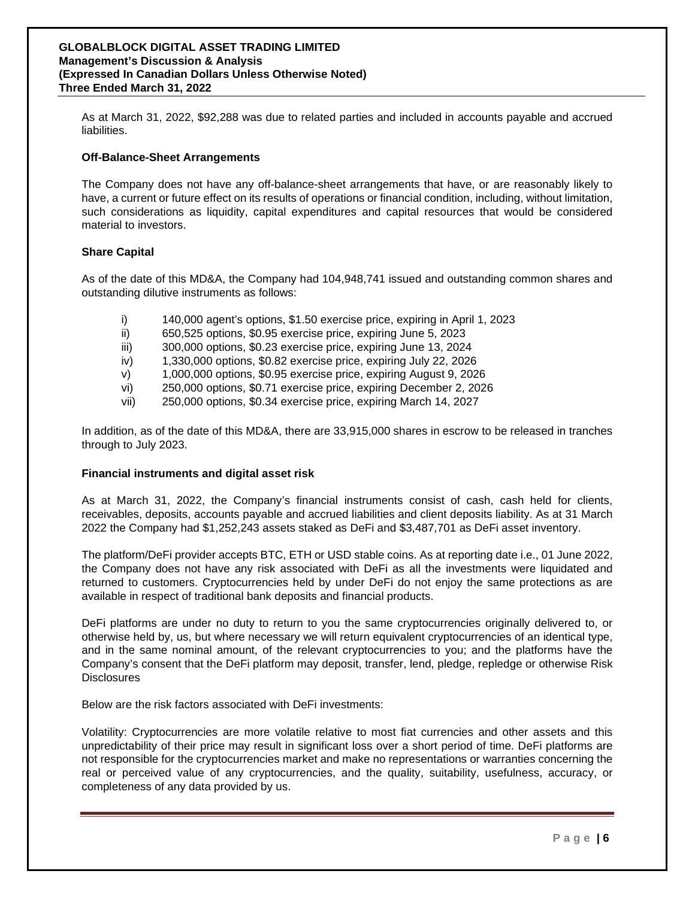As at March 31, 2022, \$92,288 was due to related parties and included in accounts payable and accrued liabilities.

#### **Off-Balance-Sheet Arrangements**

The Company does not have any off-balance-sheet arrangements that have, or are reasonably likely to have, a current or future effect on its results of operations or financial condition, including, without limitation, such considerations as liquidity, capital expenditures and capital resources that would be considered material to investors.

### **Share Capital**

As of the date of this MD&A, the Company had 104,948,741 issued and outstanding common shares and outstanding dilutive instruments as follows:

- i) 140,000 agent's options, \$1.50 exercise price, expiring in April 1, 2023
- ii) 650,525 options, \$0.95 exercise price, expiring June 5, 2023
- iii) 300,000 options, \$0.23 exercise price, expiring June 13, 2024
- iv) 1,330,000 options, \$0.82 exercise price, expiring July 22, 2026
- v) 1,000,000 options, \$0.95 exercise price, expiring August 9, 2026
- vi) 250,000 options, \$0.71 exercise price, expiring December 2, 2026
- vii) 250,000 options, \$0.34 exercise price, expiring March 14, 2027

In addition, as of the date of this MD&A, there are 33,915,000 shares in escrow to be released in tranches through to July 2023.

#### **Financial instruments and digital asset risk**

As at March 31, 2022, the Company's financial instruments consist of cash, cash held for clients, receivables, deposits, accounts payable and accrued liabilities and client deposits liability. As at 31 March 2022 the Company had \$1,252,243 assets staked as DeFi and \$3,487,701 as DeFi asset inventory.

The platform/DeFi provider accepts BTC, ETH or USD stable coins. As at reporting date i.e., 01 June 2022, the Company does not have any risk associated with DeFi as all the investments were liquidated and returned to customers. Cryptocurrencies held by under DeFi do not enjoy the same protections as are available in respect of traditional bank deposits and financial products.

DeFi platforms are under no duty to return to you the same cryptocurrencies originally delivered to, or otherwise held by, us, but where necessary we will return equivalent cryptocurrencies of an identical type, and in the same nominal amount, of the relevant cryptocurrencies to you; and the platforms have the Company's consent that the DeFi platform may deposit, transfer, lend, pledge, repledge or otherwise Risk **Disclosures** 

Below are the risk factors associated with DeFi investments:

Volatility: Cryptocurrencies are more volatile relative to most fiat currencies and other assets and this unpredictability of their price may result in significant loss over a short period of time. DeFi platforms are not responsible for the cryptocurrencies market and make no representations or warranties concerning the real or perceived value of any cryptocurrencies, and the quality, suitability, usefulness, accuracy, or completeness of any data provided by us.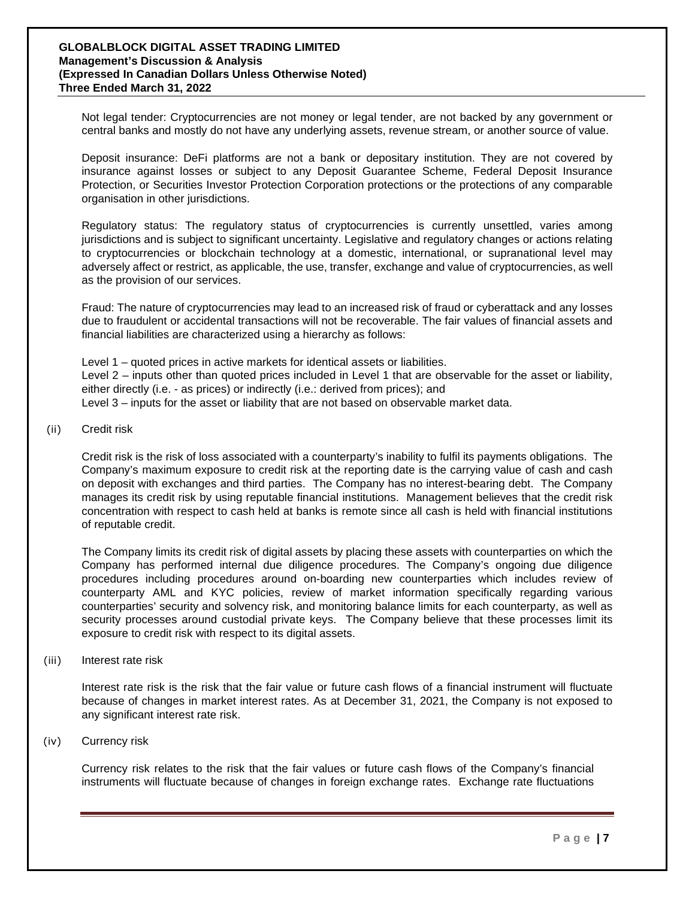Not legal tender: Cryptocurrencies are not money or legal tender, are not backed by any government or central banks and mostly do not have any underlying assets, revenue stream, or another source of value.

Deposit insurance: DeFi platforms are not a bank or depositary institution. They are not covered by insurance against losses or subject to any Deposit Guarantee Scheme, Federal Deposit Insurance Protection, or Securities Investor Protection Corporation protections or the protections of any comparable organisation in other jurisdictions.

Regulatory status: The regulatory status of cryptocurrencies is currently unsettled, varies among jurisdictions and is subject to significant uncertainty. Legislative and regulatory changes or actions relating to cryptocurrencies or blockchain technology at a domestic, international, or supranational level may adversely affect or restrict, as applicable, the use, transfer, exchange and value of cryptocurrencies, as well as the provision of our services.

Fraud: The nature of cryptocurrencies may lead to an increased risk of fraud or cyberattack and any losses due to fraudulent or accidental transactions will not be recoverable. The fair values of financial assets and financial liabilities are characterized using a hierarchy as follows:

Level 1 – quoted prices in active markets for identical assets or liabilities. Level 2 – inputs other than quoted prices included in Level 1 that are observable for the asset or liability, either directly (i.e. - as prices) or indirectly (i.e.: derived from prices); and Level 3 – inputs for the asset or liability that are not based on observable market data.

#### (ii) Credit risk

Credit risk is the risk of loss associated with a counterparty's inability to fulfil its payments obligations. The Company's maximum exposure to credit risk at the reporting date is the carrying value of cash and cash on deposit with exchanges and third parties. The Company has no interest-bearing debt. The Company manages its credit risk by using reputable financial institutions. Management believes that the credit risk concentration with respect to cash held at banks is remote since all cash is held with financial institutions of reputable credit.

The Company limits its credit risk of digital assets by placing these assets with counterparties on which the Company has performed internal due diligence procedures. The Company's ongoing due diligence procedures including procedures around on-boarding new counterparties which includes review of counterparty AML and KYC policies, review of market information specifically regarding various counterparties' security and solvency risk, and monitoring balance limits for each counterparty, as well as security processes around custodial private keys. The Company believe that these processes limit its exposure to credit risk with respect to its digital assets.

(iii) Interest rate risk

Interest rate risk is the risk that the fair value or future cash flows of a financial instrument will fluctuate because of changes in market interest rates. As at December 31, 2021, the Company is not exposed to any significant interest rate risk.

(iv) Currency risk

Currency risk relates to the risk that the fair values or future cash flows of the Company's financial instruments will fluctuate because of changes in foreign exchange rates. Exchange rate fluctuations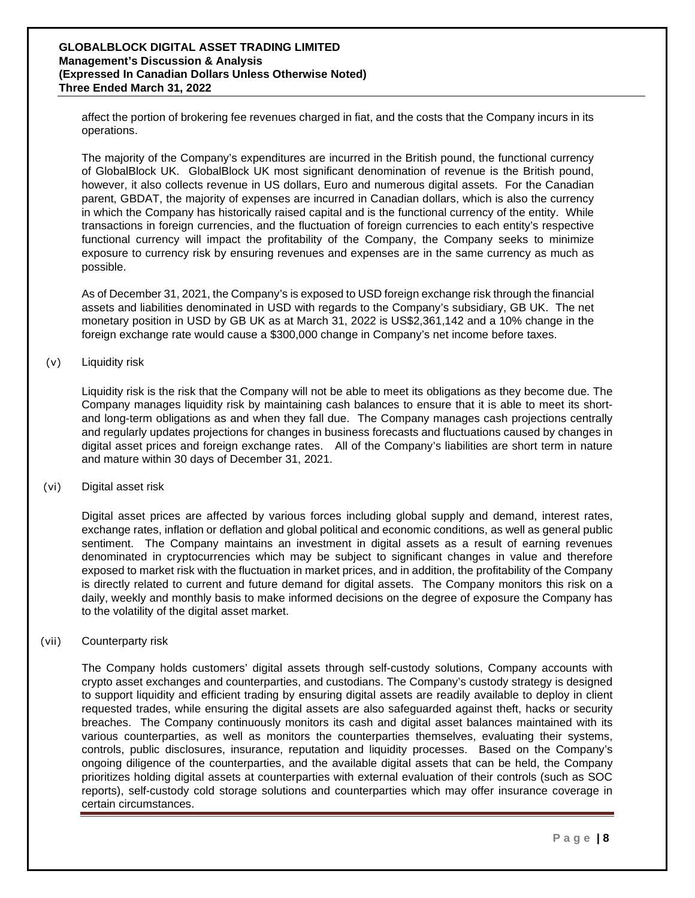affect the portion of brokering fee revenues charged in fiat, and the costs that the Company incurs in its operations.

The majority of the Company's expenditures are incurred in the British pound, the functional currency of GlobalBlock UK. GlobalBlock UK most significant denomination of revenue is the British pound, however, it also collects revenue in US dollars, Euro and numerous digital assets. For the Canadian parent, GBDAT, the majority of expenses are incurred in Canadian dollars, which is also the currency in which the Company has historically raised capital and is the functional currency of the entity. While transactions in foreign currencies, and the fluctuation of foreign currencies to each entity's respective functional currency will impact the profitability of the Company, the Company seeks to minimize exposure to currency risk by ensuring revenues and expenses are in the same currency as much as possible.

As of December 31, 2021, the Company's is exposed to USD foreign exchange risk through the financial assets and liabilities denominated in USD with regards to the Company's subsidiary, GB UK. The net monetary position in USD by GB UK as at March 31, 2022 is US\$2,361,142 and a 10% change in the foreign exchange rate would cause a \$300,000 change in Company's net income before taxes.

(v) Liquidity risk

Liquidity risk is the risk that the Company will not be able to meet its obligations as they become due. The Company manages liquidity risk by maintaining cash balances to ensure that it is able to meet its shortand long-term obligations as and when they fall due. The Company manages cash projections centrally and regularly updates projections for changes in business forecasts and fluctuations caused by changes in digital asset prices and foreign exchange rates. All of the Company's liabilities are short term in nature and mature within 30 days of December 31, 2021.

(vi) Digital asset risk

Digital asset prices are affected by various forces including global supply and demand, interest rates, exchange rates, inflation or deflation and global political and economic conditions, as well as general public sentiment. The Company maintains an investment in digital assets as a result of earning revenues denominated in cryptocurrencies which may be subject to significant changes in value and therefore exposed to market risk with the fluctuation in market prices, and in addition, the profitability of the Company is directly related to current and future demand for digital assets. The Company monitors this risk on a daily, weekly and monthly basis to make informed decisions on the degree of exposure the Company has to the volatility of the digital asset market.

(vii) Counterparty risk

The Company holds customers' digital assets through self-custody solutions, Company accounts with crypto asset exchanges and counterparties, and custodians. The Company's custody strategy is designed to support liquidity and efficient trading by ensuring digital assets are readily available to deploy in client requested trades, while ensuring the digital assets are also safeguarded against theft, hacks or security breaches. The Company continuously monitors its cash and digital asset balances maintained with its various counterparties, as well as monitors the counterparties themselves, evaluating their systems, controls, public disclosures, insurance, reputation and liquidity processes. Based on the Company's ongoing diligence of the counterparties, and the available digital assets that can be held, the Company prioritizes holding digital assets at counterparties with external evaluation of their controls (such as SOC reports), self-custody cold storage solutions and counterparties which may offer insurance coverage in certain circumstances.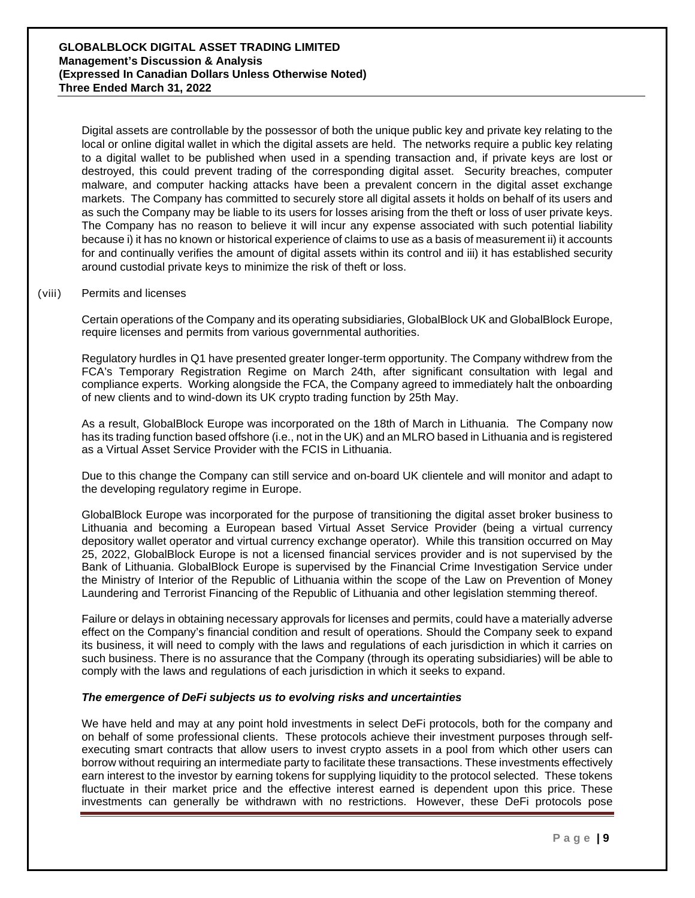Digital assets are controllable by the possessor of both the unique public key and private key relating to the local or online digital wallet in which the digital assets are held. The networks require a public key relating to a digital wallet to be published when used in a spending transaction and, if private keys are lost or destroyed, this could prevent trading of the corresponding digital asset. Security breaches, computer malware, and computer hacking attacks have been a prevalent concern in the digital asset exchange markets. The Company has committed to securely store all digital assets it holds on behalf of its users and as such the Company may be liable to its users for losses arising from the theft or loss of user private keys. The Company has no reason to believe it will incur any expense associated with such potential liability because i) it has no known or historical experience of claims to use as a basis of measurement ii) it accounts for and continually verifies the amount of digital assets within its control and iii) it has established security around custodial private keys to minimize the risk of theft or loss.

#### (viii) Permits and licenses

Certain operations of the Company and its operating subsidiaries, GlobalBlock UK and GlobalBlock Europe, require licenses and permits from various governmental authorities.

Regulatory hurdles in Q1 have presented greater longer-term opportunity. The Company withdrew from the FCA's Temporary Registration Regime on March 24th, after significant consultation with legal and compliance experts. Working alongside the FCA, the Company agreed to immediately halt the onboarding of new clients and to wind-down its UK crypto trading function by 25th May.

As a result, GlobalBlock Europe was incorporated on the 18th of March in Lithuania. The Company now has its trading function based offshore (i.e., not in the UK) and an MLRO based in Lithuania and is registered as a Virtual Asset Service Provider with the FCIS in Lithuania.

Due to this change the Company can still service and on-board UK clientele and will monitor and adapt to the developing regulatory regime in Europe.

GlobalBlock Europe was incorporated for the purpose of transitioning the digital asset broker business to Lithuania and becoming a European based Virtual Asset Service Provider (being a virtual currency depository wallet operator and virtual currency exchange operator). While this transition occurred on May 25, 2022, GlobalBlock Europe is not a licensed financial services provider and is not supervised by the Bank of Lithuania. GlobalBlock Europe is supervised by the Financial Crime Investigation Service under the Ministry of Interior of the Republic of Lithuania within the scope of the Law on Prevention of Money Laundering and Terrorist Financing of the Republic of Lithuania and other legislation stemming thereof.

Failure or delays in obtaining necessary approvals for licenses and permits, could have a materially adverse effect on the Company's financial condition and result of operations. Should the Company seek to expand its business, it will need to comply with the laws and regulations of each jurisdiction in which it carries on such business. There is no assurance that the Company (through its operating subsidiaries) will be able to comply with the laws and regulations of each jurisdiction in which it seeks to expand.

#### *The emergence of DeFi subjects us to evolving risks and uncertainties*

We have held and may at any point hold investments in select DeFi protocols, both for the company and on behalf of some professional clients. These protocols achieve their investment purposes through selfexecuting smart contracts that allow users to invest crypto assets in a pool from which other users can borrow without requiring an intermediate party to facilitate these transactions. These investments effectively earn interest to the investor by earning tokens for supplying liquidity to the protocol selected. These tokens fluctuate in their market price and the effective interest earned is dependent upon this price. These investments can generally be withdrawn with no restrictions. However, these DeFi protocols pose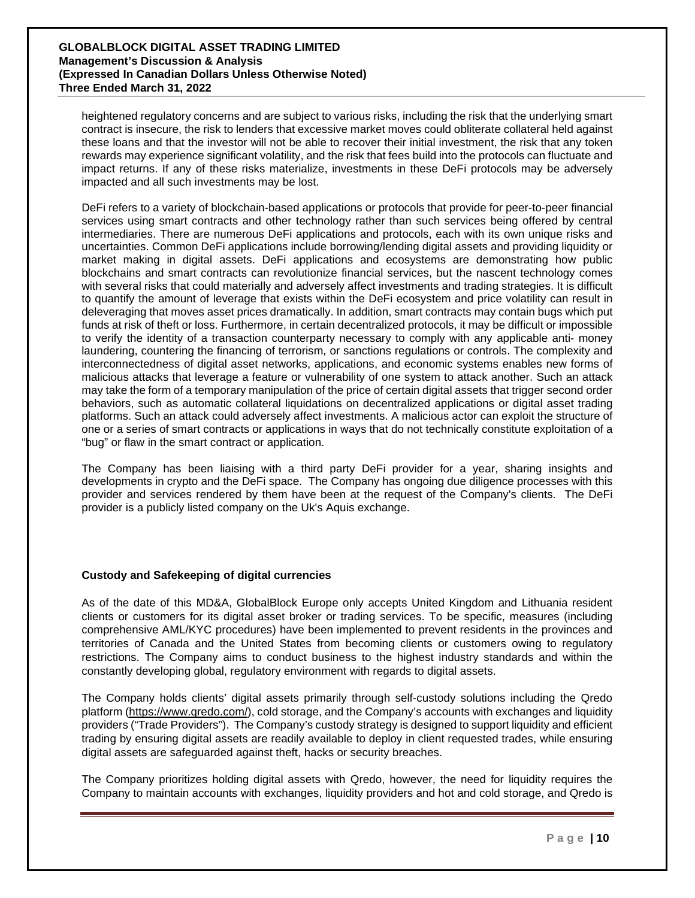heightened regulatory concerns and are subject to various risks, including the risk that the underlying smart contract is insecure, the risk to lenders that excessive market moves could obliterate collateral held against these loans and that the investor will not be able to recover their initial investment, the risk that any token rewards may experience significant volatility, and the risk that fees build into the protocols can fluctuate and impact returns. If any of these risks materialize, investments in these DeFi protocols may be adversely impacted and all such investments may be lost.

DeFi refers to a variety of blockchain-based applications or protocols that provide for peer-to-peer financial services using smart contracts and other technology rather than such services being offered by central intermediaries. There are numerous DeFi applications and protocols, each with its own unique risks and uncertainties. Common DeFi applications include borrowing/lending digital assets and providing liquidity or market making in digital assets. DeFi applications and ecosystems are demonstrating how public blockchains and smart contracts can revolutionize financial services, but the nascent technology comes with several risks that could materially and adversely affect investments and trading strategies. It is difficult to quantify the amount of leverage that exists within the DeFi ecosystem and price volatility can result in deleveraging that moves asset prices dramatically. In addition, smart contracts may contain bugs which put funds at risk of theft or loss. Furthermore, in certain decentralized protocols, it may be difficult or impossible to verify the identity of a transaction counterparty necessary to comply with any applicable anti- money laundering, countering the financing of terrorism, or sanctions regulations or controls. The complexity and interconnectedness of digital asset networks, applications, and economic systems enables new forms of malicious attacks that leverage a feature or vulnerability of one system to attack another. Such an attack may take the form of a temporary manipulation of the price of certain digital assets that trigger second order behaviors, such as automatic collateral liquidations on decentralized applications or digital asset trading platforms. Such an attack could adversely affect investments. A malicious actor can exploit the structure of one or a series of smart contracts or applications in ways that do not technically constitute exploitation of a "bug" or flaw in the smart contract or application.

The Company has been liaising with a third party DeFi provider for a year, sharing insights and developments in crypto and the DeFi space. The Company has ongoing due diligence processes with this provider and services rendered by them have been at the request of the Company's clients. The DeFi provider is a publicly listed company on the Uk's Aquis exchange.

#### **Custody and Safekeeping of digital currencies**

As of the date of this MD&A, GlobalBlock Europe only accepts United Kingdom and Lithuania resident clients or customers for its digital asset broker or trading services. To be specific, measures (including comprehensive AML/KYC procedures) have been implemented to prevent residents in the provinces and territories of Canada and the United States from becoming clients or customers owing to regulatory restrictions. The Company aims to conduct business to the highest industry standards and within the constantly developing global, regulatory environment with regards to digital assets.

The Company holds clients' digital assets primarily through self-custody solutions including the Qredo platform [\(https://www.qredo.com/\)](https://www.qredo.com/), cold storage, and the Company's accounts with exchanges and liquidity providers ("Trade Providers"). The Company's custody strategy is designed to support liquidity and efficient trading by ensuring digital assets are readily available to deploy in client requested trades, while ensuring digital assets are safeguarded against theft, hacks or security breaches.

The Company prioritizes holding digital assets with Qredo, however, the need for liquidity requires the Company to maintain accounts with exchanges, liquidity providers and hot and cold storage, and Qredo is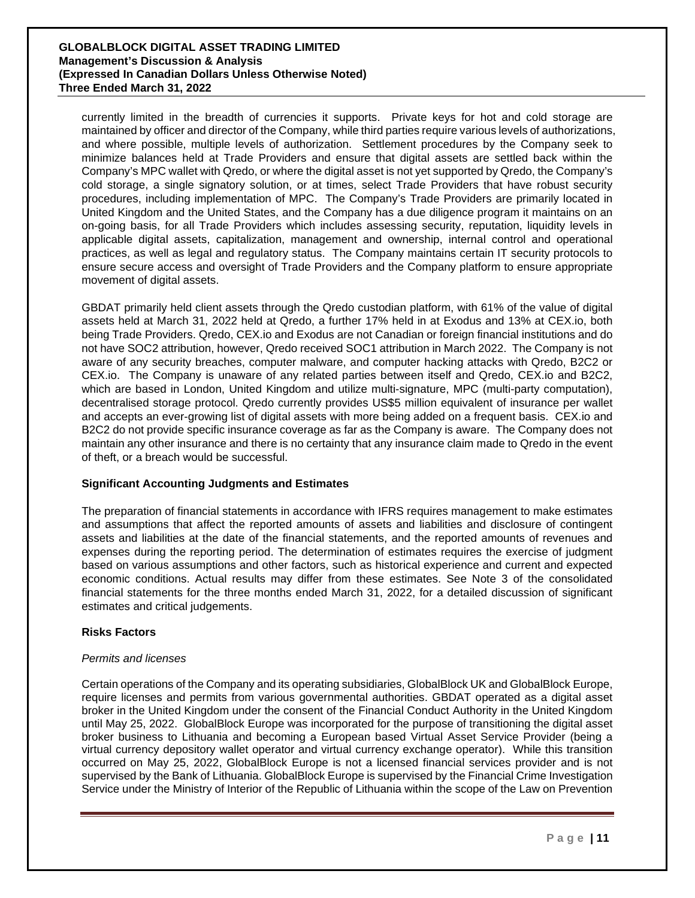currently limited in the breadth of currencies it supports. Private keys for hot and cold storage are maintained by officer and director of the Company, while third parties require various levels of authorizations, and where possible, multiple levels of authorization. Settlement procedures by the Company seek to minimize balances held at Trade Providers and ensure that digital assets are settled back within the Company's MPC wallet with Qredo, or where the digital asset is not yet supported by Qredo, the Company's cold storage, a single signatory solution, or at times, select Trade Providers that have robust security procedures, including implementation of MPC. The Company's Trade Providers are primarily located in United Kingdom and the United States, and the Company has a due diligence program it maintains on an on-going basis, for all Trade Providers which includes assessing security, reputation, liquidity levels in applicable digital assets, capitalization, management and ownership, internal control and operational practices, as well as legal and regulatory status. The Company maintains certain IT security protocols to ensure secure access and oversight of Trade Providers and the Company platform to ensure appropriate movement of digital assets.

GBDAT primarily held client assets through the Qredo custodian platform, with 61% of the value of digital assets held at March 31, 2022 held at Qredo, a further 17% held in at Exodus and 13% at CEX.io, both being Trade Providers. Qredo, CEX.io and Exodus are not Canadian or foreign financial institutions and do not have SOC2 attribution, however, Qredo received SOC1 attribution in March 2022. The Company is not aware of any security breaches, computer malware, and computer hacking attacks with Qredo, B2C2 or CEX.io. The Company is unaware of any related parties between itself and Qredo, CEX.io and B2C2, which are based in London, United Kingdom and utilize multi-signature, MPC (multi-party computation), decentralised storage protocol. Qredo currently provides US\$5 million equivalent of insurance per wallet and accepts an ever-growing list of digital assets with more being added on a frequent basis. CEX.io and B2C2 do not provide specific insurance coverage as far as the Company is aware. The Company does not maintain any other insurance and there is no certainty that any insurance claim made to Qredo in the event of theft, or a breach would be successful.

#### **Significant Accounting Judgments and Estimates**

The preparation of financial statements in accordance with IFRS requires management to make estimates and assumptions that affect the reported amounts of assets and liabilities and disclosure of contingent assets and liabilities at the date of the financial statements, and the reported amounts of revenues and expenses during the reporting period. The determination of estimates requires the exercise of judgment based on various assumptions and other factors, such as historical experience and current and expected economic conditions. Actual results may differ from these estimates. See Note 3 of the consolidated financial statements for the three months ended March 31, 2022, for a detailed discussion of significant estimates and critical judgements.

#### **Risks Factors**

#### *Permits and licenses*

Certain operations of the Company and its operating subsidiaries, GlobalBlock UK and GlobalBlock Europe, require licenses and permits from various governmental authorities. GBDAT operated as a digital asset broker in the United Kingdom under the consent of the Financial Conduct Authority in the United Kingdom until May 25, 2022. GlobalBlock Europe was incorporated for the purpose of transitioning the digital asset broker business to Lithuania and becoming a European based Virtual Asset Service Provider (being a virtual currency depository wallet operator and virtual currency exchange operator). While this transition occurred on May 25, 2022, GlobalBlock Europe is not a licensed financial services provider and is not supervised by the Bank of Lithuania. GlobalBlock Europe is supervised by the Financial Crime Investigation Service under the Ministry of Interior of the Republic of Lithuania within the scope of the Law on Prevention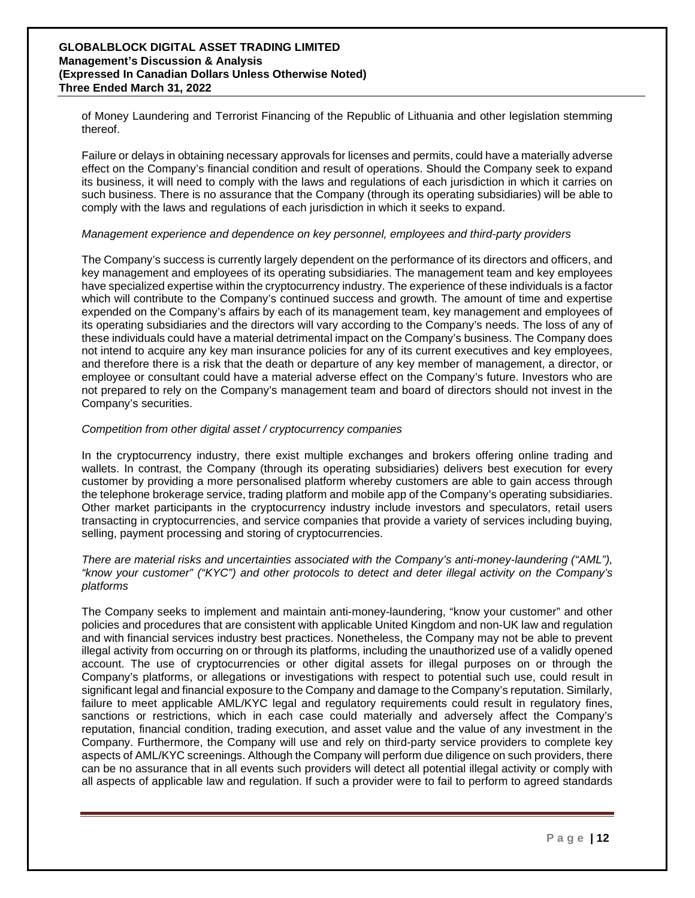of Money Laundering and Terrorist Financing of the Republic of Lithuania and other legislation stemming thereof.

Failure or delays in obtaining necessary approvals for licenses and permits, could have a materially adverse effect on the Company's financial condition and result of operations. Should the Company seek to expand its business, it will need to comply with the laws and regulations of each jurisdiction in which it carries on such business. There is no assurance that the Company (through its operating subsidiaries) will be able to comply with the laws and regulations of each jurisdiction in which it seeks to expand.

#### *Management experience and dependence on key personnel, employees and third-party providers*

The Company's success is currently largely dependent on the performance of its directors and officers, and key management and employees of its operating subsidiaries. The management team and key employees have specialized expertise within the cryptocurrency industry. The experience of these individuals is a factor which will contribute to the Company's continued success and growth. The amount of time and expertise expended on the Company's affairs by each of its management team, key management and employees of its operating subsidiaries and the directors will vary according to the Company's needs. The loss of any of these individuals could have a material detrimental impact on the Company's business. The Company does not intend to acquire any key man insurance policies for any of its current executives and key employees, and therefore there is a risk that the death or departure of any key member of management, a director, or employee or consultant could have a material adverse effect on the Company's future. Investors who are not prepared to rely on the Company's management team and board of directors should not invest in the Company's securities.

#### *Competition from other digital asset / cryptocurrency companies*

In the cryptocurrency industry, there exist multiple exchanges and brokers offering online trading and wallets. In contrast, the Company (through its operating subsidiaries) delivers best execution for every customer by providing a more personalised platform whereby customers are able to gain access through the telephone brokerage service, trading platform and mobile app of the Company's operating subsidiaries. Other market participants in the cryptocurrency industry include investors and speculators, retail users transacting in cryptocurrencies, and service companies that provide a variety of services including buying, selling, payment processing and storing of cryptocurrencies.

#### *There are material risks and uncertainties associated with the Company's anti-money-laundering ("AML"), "know your customer" ("KYC") and other protocols to detect and deter illegal activity on the Company's platforms*

The Company seeks to implement and maintain anti-money-laundering, "know your customer" and other policies and procedures that are consistent with applicable United Kingdom and non-UK law and regulation and with financial services industry best practices. Nonetheless, the Company may not be able to prevent illegal activity from occurring on or through its platforms, including the unauthorized use of a validly opened account. The use of cryptocurrencies or other digital assets for illegal purposes on or through the Company's platforms, or allegations or investigations with respect to potential such use, could result in significant legal and financial exposure to the Company and damage to the Company's reputation. Similarly, failure to meet applicable AML/KYC legal and regulatory requirements could result in regulatory fines, sanctions or restrictions, which in each case could materially and adversely affect the Company's reputation, financial condition, trading execution, and asset value and the value of any investment in the Company. Furthermore, the Company will use and rely on third-party service providers to complete key aspects of AML/KYC screenings. Although the Company will perform due diligence on such providers, there can be no assurance that in all events such providers will detect all potential illegal activity or comply with all aspects of applicable law and regulation. If such a provider were to fail to perform to agreed standards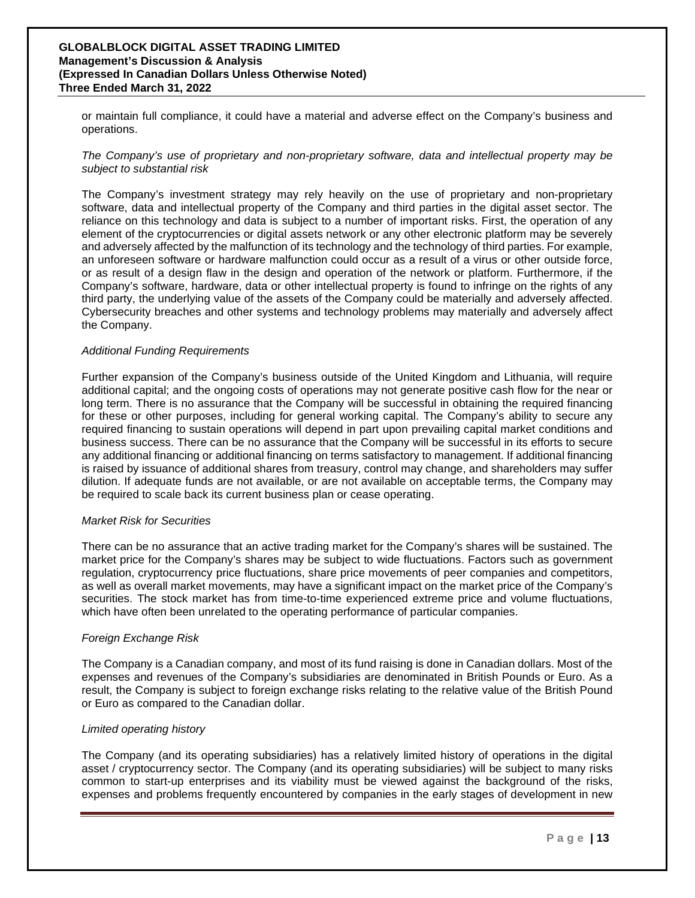or maintain full compliance, it could have a material and adverse effect on the Company's business and operations.

*The Company's use of proprietary and non-proprietary software, data and intellectual property may be subject to substantial risk* 

The Company's investment strategy may rely heavily on the use of proprietary and non-proprietary software, data and intellectual property of the Company and third parties in the digital asset sector. The reliance on this technology and data is subject to a number of important risks. First, the operation of any element of the cryptocurrencies or digital assets network or any other electronic platform may be severely and adversely affected by the malfunction of its technology and the technology of third parties. For example, an unforeseen software or hardware malfunction could occur as a result of a virus or other outside force, or as result of a design flaw in the design and operation of the network or platform. Furthermore, if the Company's software, hardware, data or other intellectual property is found to infringe on the rights of any third party, the underlying value of the assets of the Company could be materially and adversely affected. Cybersecurity breaches and other systems and technology problems may materially and adversely affect the Company.

#### *Additional Funding Requirements*

Further expansion of the Company's business outside of the United Kingdom and Lithuania, will require additional capital; and the ongoing costs of operations may not generate positive cash flow for the near or long term. There is no assurance that the Company will be successful in obtaining the required financing for these or other purposes, including for general working capital. The Company's ability to secure any required financing to sustain operations will depend in part upon prevailing capital market conditions and business success. There can be no assurance that the Company will be successful in its efforts to secure any additional financing or additional financing on terms satisfactory to management. If additional financing is raised by issuance of additional shares from treasury, control may change, and shareholders may suffer dilution. If adequate funds are not available, or are not available on acceptable terms, the Company may be required to scale back its current business plan or cease operating.

#### *Market Risk for Securities*

There can be no assurance that an active trading market for the Company's shares will be sustained. The market price for the Company's shares may be subject to wide fluctuations. Factors such as government regulation, cryptocurrency price fluctuations, share price movements of peer companies and competitors, as well as overall market movements, may have a significant impact on the market price of the Company's securities. The stock market has from time-to-time experienced extreme price and volume fluctuations, which have often been unrelated to the operating performance of particular companies.

#### *Foreign Exchange Risk*

The Company is a Canadian company, and most of its fund raising is done in Canadian dollars. Most of the expenses and revenues of the Company's subsidiaries are denominated in British Pounds or Euro. As a result, the Company is subject to foreign exchange risks relating to the relative value of the British Pound or Euro as compared to the Canadian dollar.

#### *Limited operating history*

The Company (and its operating subsidiaries) has a relatively limited history of operations in the digital asset / cryptocurrency sector. The Company (and its operating subsidiaries) will be subject to many risks common to start-up enterprises and its viability must be viewed against the background of the risks, expenses and problems frequently encountered by companies in the early stages of development in new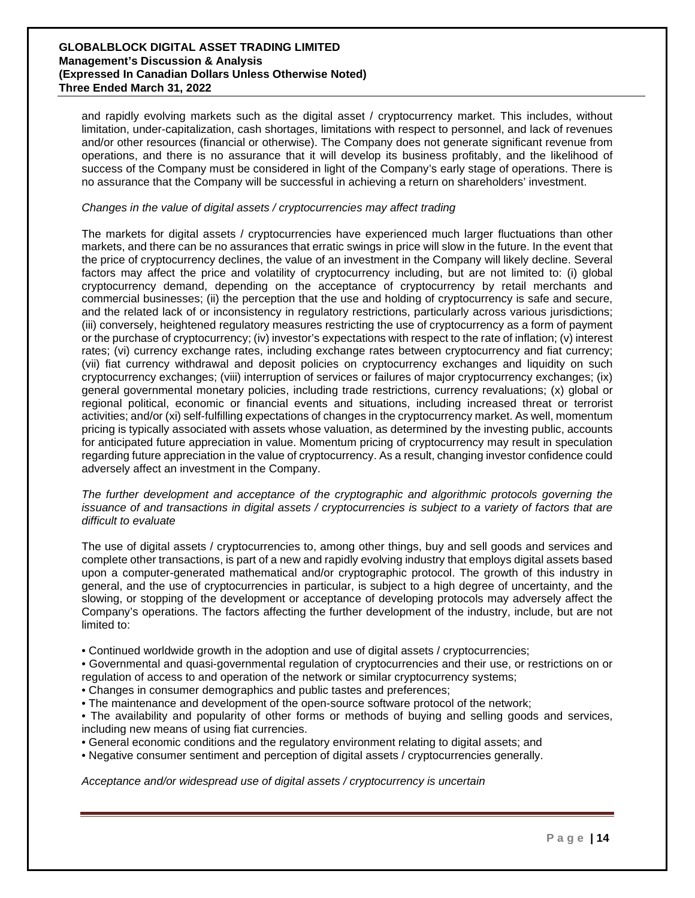and rapidly evolving markets such as the digital asset / cryptocurrency market. This includes, without limitation, under-capitalization, cash shortages, limitations with respect to personnel, and lack of revenues and/or other resources (financial or otherwise). The Company does not generate significant revenue from operations, and there is no assurance that it will develop its business profitably, and the likelihood of success of the Company must be considered in light of the Company's early stage of operations. There is no assurance that the Company will be successful in achieving a return on shareholders' investment.

#### *Changes in the value of digital assets / cryptocurrencies may affect trading*

The markets for digital assets / cryptocurrencies have experienced much larger fluctuations than other markets, and there can be no assurances that erratic swings in price will slow in the future. In the event that the price of cryptocurrency declines, the value of an investment in the Company will likely decline. Several factors may affect the price and volatility of cryptocurrency including, but are not limited to: (i) global cryptocurrency demand, depending on the acceptance of cryptocurrency by retail merchants and commercial businesses; (ii) the perception that the use and holding of cryptocurrency is safe and secure, and the related lack of or inconsistency in regulatory restrictions, particularly across various jurisdictions; (iii) conversely, heightened regulatory measures restricting the use of cryptocurrency as a form of payment or the purchase of cryptocurrency; (iv) investor's expectations with respect to the rate of inflation; (v) interest rates; (vi) currency exchange rates, including exchange rates between cryptocurrency and fiat currency; (vii) fiat currency withdrawal and deposit policies on cryptocurrency exchanges and liquidity on such cryptocurrency exchanges; (viii) interruption of services or failures of major cryptocurrency exchanges; (ix) general governmental monetary policies, including trade restrictions, currency revaluations; (x) global or regional political, economic or financial events and situations, including increased threat or terrorist activities; and/or (xi) self-fulfilling expectations of changes in the cryptocurrency market. As well, momentum pricing is typically associated with assets whose valuation, as determined by the investing public, accounts for anticipated future appreciation in value. Momentum pricing of cryptocurrency may result in speculation regarding future appreciation in the value of cryptocurrency. As a result, changing investor confidence could adversely affect an investment in the Company.

*The further development and acceptance of the cryptographic and algorithmic protocols governing the issuance of and transactions in digital assets / cryptocurrencies is subject to a variety of factors that are difficult to evaluate* 

The use of digital assets / cryptocurrencies to, among other things, buy and sell goods and services and complete other transactions, is part of a new and rapidly evolving industry that employs digital assets based upon a computer-generated mathematical and/or cryptographic protocol. The growth of this industry in general, and the use of cryptocurrencies in particular, is subject to a high degree of uncertainty, and the slowing, or stopping of the development or acceptance of developing protocols may adversely affect the Company's operations. The factors affecting the further development of the industry, include, but are not limited to:

• Continued worldwide growth in the adoption and use of digital assets / cryptocurrencies;

• Governmental and quasi-governmental regulation of cryptocurrencies and their use, or restrictions on or regulation of access to and operation of the network or similar cryptocurrency systems;

• Changes in consumer demographics and public tastes and preferences;

• The maintenance and development of the open-source software protocol of the network;

• The availability and popularity of other forms or methods of buying and selling goods and services, including new means of using fiat currencies.

• General economic conditions and the regulatory environment relating to digital assets; and

• Negative consumer sentiment and perception of digital assets / cryptocurrencies generally.

*Acceptance and/or widespread use of digital assets / cryptocurrency is uncertain*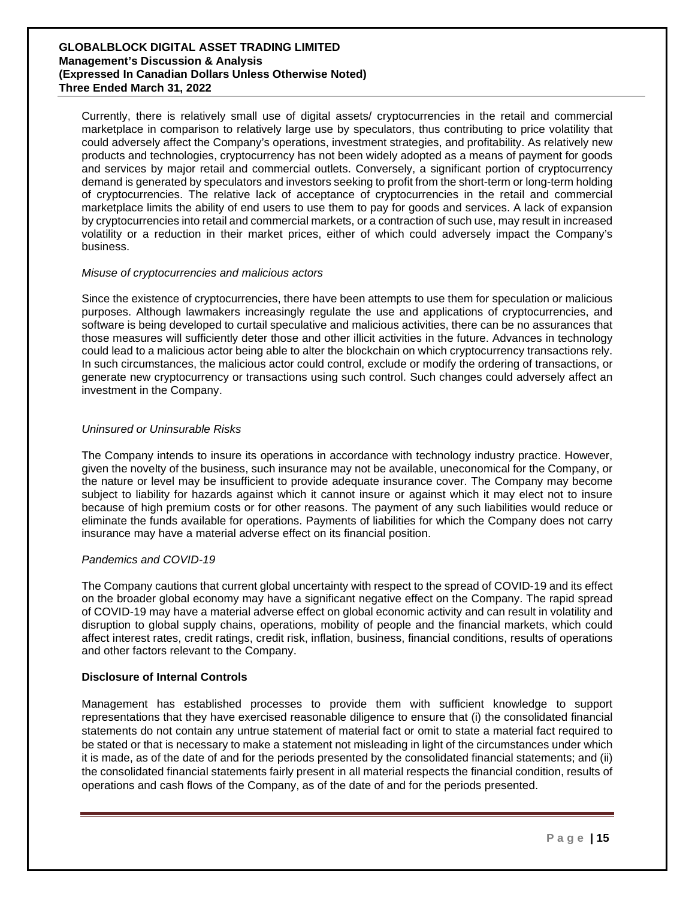Currently, there is relatively small use of digital assets/ cryptocurrencies in the retail and commercial marketplace in comparison to relatively large use by speculators, thus contributing to price volatility that could adversely affect the Company's operations, investment strategies, and profitability. As relatively new products and technologies, cryptocurrency has not been widely adopted as a means of payment for goods and services by major retail and commercial outlets. Conversely, a significant portion of cryptocurrency demand is generated by speculators and investors seeking to profit from the short-term or long-term holding of cryptocurrencies. The relative lack of acceptance of cryptocurrencies in the retail and commercial marketplace limits the ability of end users to use them to pay for goods and services. A lack of expansion by cryptocurrencies into retail and commercial markets, or a contraction of such use, may result in increased volatility or a reduction in their market prices, either of which could adversely impact the Company's business.

#### *Misuse of cryptocurrencies and malicious actors*

Since the existence of cryptocurrencies, there have been attempts to use them for speculation or malicious purposes. Although lawmakers increasingly regulate the use and applications of cryptocurrencies, and software is being developed to curtail speculative and malicious activities, there can be no assurances that those measures will sufficiently deter those and other illicit activities in the future. Advances in technology could lead to a malicious actor being able to alter the blockchain on which cryptocurrency transactions rely. In such circumstances, the malicious actor could control, exclude or modify the ordering of transactions, or generate new cryptocurrency or transactions using such control. Such changes could adversely affect an investment in the Company.

#### *Uninsured or Uninsurable Risks*

The Company intends to insure its operations in accordance with technology industry practice. However, given the novelty of the business, such insurance may not be available, uneconomical for the Company, or the nature or level may be insufficient to provide adequate insurance cover. The Company may become subject to liability for hazards against which it cannot insure or against which it may elect not to insure because of high premium costs or for other reasons. The payment of any such liabilities would reduce or eliminate the funds available for operations. Payments of liabilities for which the Company does not carry insurance may have a material adverse effect on its financial position.

#### *Pandemics and COVID-19*

The Company cautions that current global uncertainty with respect to the spread of COVID-19 and its effect on the broader global economy may have a significant negative effect on the Company. The rapid spread of COVID-19 may have a material adverse effect on global economic activity and can result in volatility and disruption to global supply chains, operations, mobility of people and the financial markets, which could affect interest rates, credit ratings, credit risk, inflation, business, financial conditions, results of operations and other factors relevant to the Company.

#### **Disclosure of Internal Controls**

Management has established processes to provide them with sufficient knowledge to support representations that they have exercised reasonable diligence to ensure that (i) the consolidated financial statements do not contain any untrue statement of material fact or omit to state a material fact required to be stated or that is necessary to make a statement not misleading in light of the circumstances under which it is made, as of the date of and for the periods presented by the consolidated financial statements; and (ii) the consolidated financial statements fairly present in all material respects the financial condition, results of operations and cash flows of the Company, as of the date of and for the periods presented.